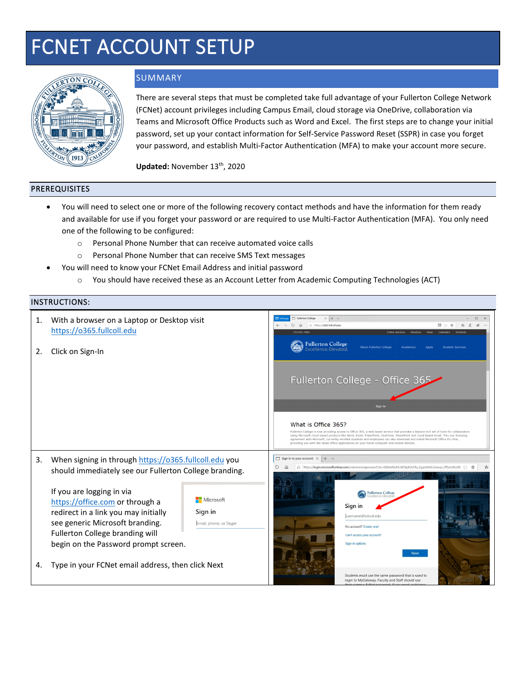# FCNET ACCOUNT SETUP



## **SUMMARY**

There are several steps that must be completed take full advantage of your Fullerton College Network (FCNet) account privileges including Campus Email, cloud storage via OneDrive, collaboration via Teams and Microsoft Office Products such as Word and Excel. The first steps are to change your initial password, set up your contact information for Self-Service Password Reset (SSPR) in case you forget your password, and establish Multi-Factor Authentication (MFA) to make your account more secure.

Updated: November 13<sup>th</sup>, 2020

### PREREQUISITES

- You will need to select one or more of the following recovery contact methods and have the information for them ready and available for use if you forget your password or are required to use Multi-Factor Authentication (MFA). You only need one of the following to be configured:
	- o Personal Phone Number that can receive automated voice calls
	- o Personal Phone Number that can receive SMS Text messages
- You will need to know your FCNet Email Address and initial password
	- o You should have received these as an Account Letter from Academic Computing Technologies (ACT)

#### INSTRUCTIONS:

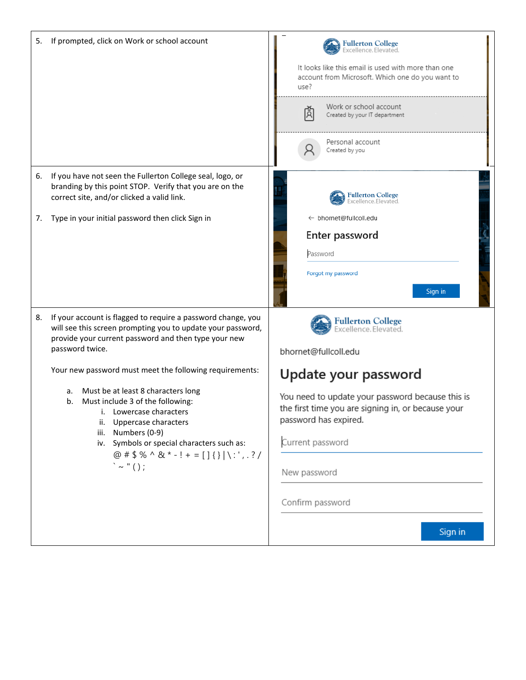| 5.       | If prompted, click on Work or school account                                                                                                                                                                                                                                                                                                                                                                                                                                                                                                                            | <b>Fullerton College</b><br>Excellence.Elevated.<br>It looks like this email is used with more than one<br>account from Microsoft. Which one do you want to<br>use?<br>Work or school account<br>Ā<br>Created by your IT department<br>Personal account<br>Created by you                              |
|----------|-------------------------------------------------------------------------------------------------------------------------------------------------------------------------------------------------------------------------------------------------------------------------------------------------------------------------------------------------------------------------------------------------------------------------------------------------------------------------------------------------------------------------------------------------------------------------|--------------------------------------------------------------------------------------------------------------------------------------------------------------------------------------------------------------------------------------------------------------------------------------------------------|
| 6.<br>7. | If you have not seen the Fullerton College seal, logo, or<br>branding by this point STOP. Verify that you are on the<br>correct site, and/or clicked a valid link.<br>Type in your initial password then click Sign in                                                                                                                                                                                                                                                                                                                                                  | <b>Fullerton College</b><br>Excellence, Elevated<br>← bhornet@fullcoll.edu<br>Enter password<br>Password<br>Forgot my password<br>Sign in                                                                                                                                                              |
| 8.       | If your account is flagged to require a password change, you<br>will see this screen prompting you to update your password,<br>provide your current password and then type your new<br>password twice.<br>Your new password must meet the following requirements:<br>Must be at least 8 characters long<br>a.<br>Must include 3 of the following:<br>b.<br>i. Lowercase characters<br>ii. Uppercase characters<br>iii. Numbers (0-9)<br>iv. Symbols or special characters such as:<br>@ # $$ % ^8 + $ + = []$ $]$ $\{\}\ \cdot\ $ ; $\?\right$<br>$\lambda \sim$ " ( ); | <b>Fullerton College</b><br>Excellence.Elevated.<br>bhornet@fullcoll.edu<br>Update your password<br>You need to update your password because this is<br>the first time you are signing in, or because your<br>password has expired.<br>Current password<br>New password<br>Confirm password<br>Sign in |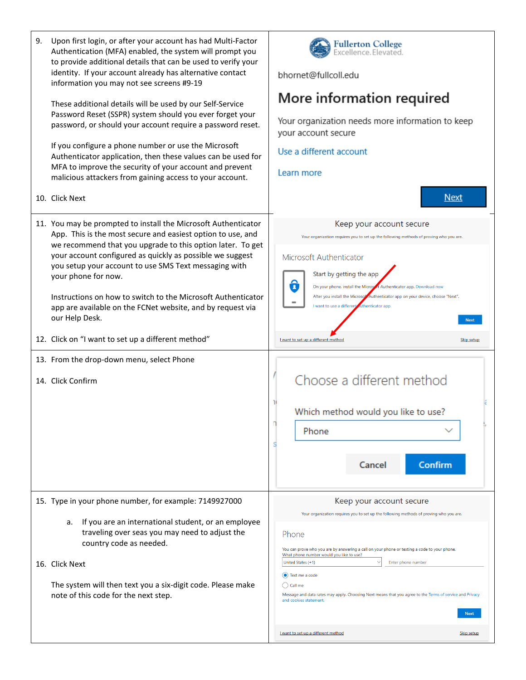| 9. | Upon first login, or after your account has had Multi-Factor<br>Authentication (MFA) enabled, the system will prompt you<br>to provide additional details that can be used to verify your<br>identity. If your account already has alternative contact<br>information you may not see screens #9-19<br>These additional details will be used by our Self-Service<br>Password Reset (SSPR) system should you ever forget your<br>password, or should your account require a password reset.<br>If you configure a phone number or use the Microsoft<br>Authenticator application, then these values can be used for<br>MFA to improve the security of your account and prevent<br>malicious attackers from gaining access to your account.<br>10. Click Next | Fullerton College<br>Excellence.Elevated.<br>bhornet@fullcoll.edu<br>More information required<br>Your organization needs more information to keep<br>your account secure<br>Use a different account<br>Learn more<br><b>Next</b>                                                                                                                                                                                                                                                                                                                                  |
|----|-------------------------------------------------------------------------------------------------------------------------------------------------------------------------------------------------------------------------------------------------------------------------------------------------------------------------------------------------------------------------------------------------------------------------------------------------------------------------------------------------------------------------------------------------------------------------------------------------------------------------------------------------------------------------------------------------------------------------------------------------------------|--------------------------------------------------------------------------------------------------------------------------------------------------------------------------------------------------------------------------------------------------------------------------------------------------------------------------------------------------------------------------------------------------------------------------------------------------------------------------------------------------------------------------------------------------------------------|
|    | 11. You may be prompted to install the Microsoft Authenticator<br>App. This is the most secure and easiest option to use, and<br>we recommend that you upgrade to this option later. To get<br>your account configured as quickly as possible we suggest<br>you setup your account to use SMS Text messaging with<br>your phone for now.<br>Instructions on how to switch to the Microsoft Authenticator<br>app are available on the FCNet website, and by request via<br>our Help Desk.<br>12. Click on "I want to set up a different method"                                                                                                                                                                                                              | Keep your account secure<br>Your organization requires you to set up the following methods of proving who you are.<br>Microsoft Authenticator<br>Start by getting the app<br>E.<br>On your phone, install the Microsett Authenticator app. Download now<br>After you install the Microsof Authenticator app on your device, choose "Next".<br>I want to use a different<br>uthenticator app<br><b>Next</b><br>want to set up a different method<br>Skip setup                                                                                                      |
|    |                                                                                                                                                                                                                                                                                                                                                                                                                                                                                                                                                                                                                                                                                                                                                             |                                                                                                                                                                                                                                                                                                                                                                                                                                                                                                                                                                    |
|    | 13. From the drop-down menu, select Phone<br>14. Click Confirm                                                                                                                                                                                                                                                                                                                                                                                                                                                                                                                                                                                                                                                                                              | Choose a different method<br>Which method would you like to use?<br>Phone<br>Cancel<br>Confirm                                                                                                                                                                                                                                                                                                                                                                                                                                                                     |
|    | 15. Type in your phone number, for example: 7149927000<br>If you are an international student, or an employee<br>a.<br>traveling over seas you may need to adjust the<br>country code as needed.<br>16. Click Next<br>The system will then text you a six-digit code. Please make<br>note of this code for the next step.                                                                                                                                                                                                                                                                                                                                                                                                                                   | Keep your account secure<br>Your organization requires you to set up the following methods of proving who you are.<br>Phone<br>You can prove who you are by answering a call on your phone or texting a code to your phone.<br>What phone number would you like to use?<br>United States (+1)<br>Enter phone number<br>(c) Text me a code<br>( ) Call me<br>Message and data rates may apply. Choosing Next means that you agree to the Terms of service and Privacy<br>and cookies statement.<br><b>Next</b><br>I want to set up a different method<br>Skip setup |